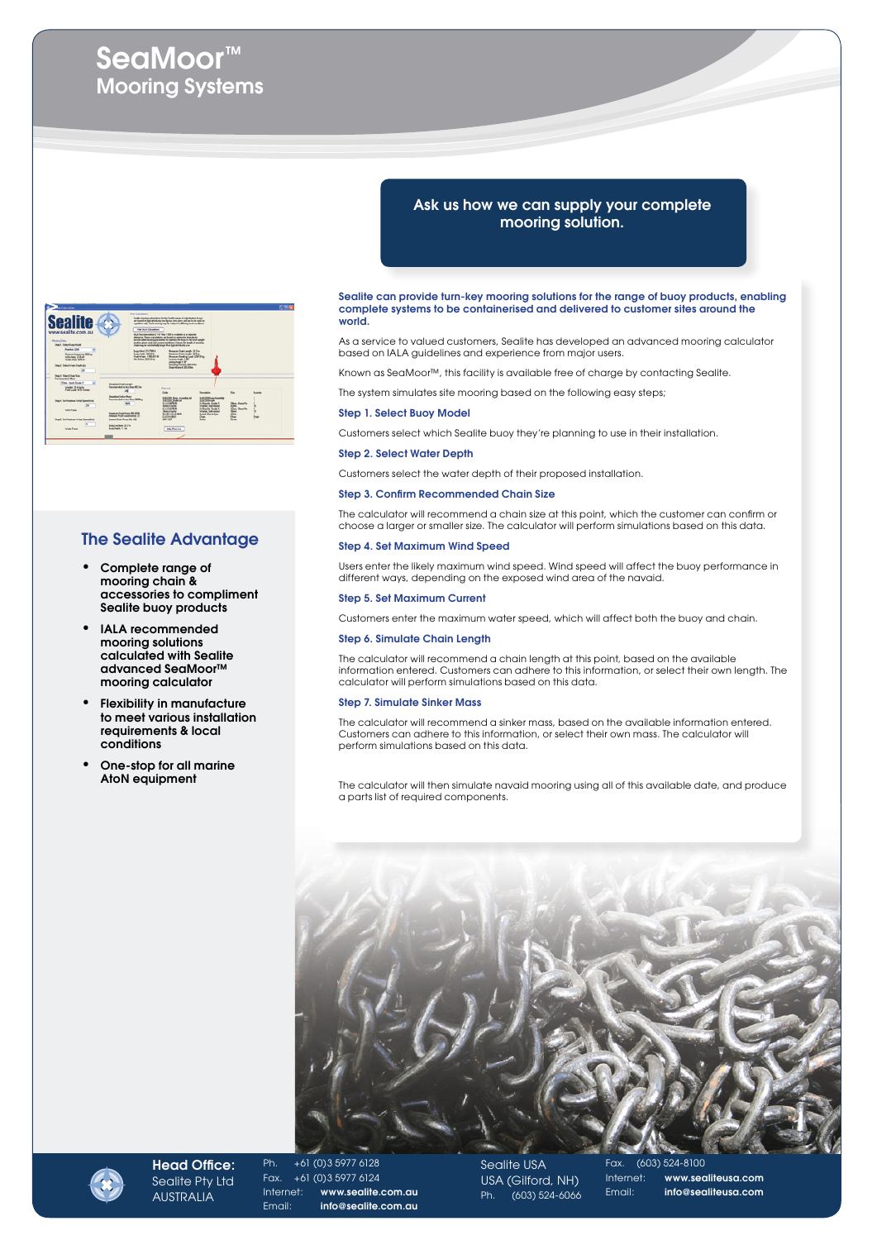# SeaMoor™ Mooring Systems



# The Sealite Advantage

- Complete range of mooring chain & accessories to compliment Sealite buoy products
- IALA recommended mooring solutions calculated with Sealite advanced SeaMoor™ mooring calculator
- **Flexibility in manufacture** to meet various installation requirements & local conditions
- One-stop for all marine AtoN equipment

# Ask us how we can supply your complete mooring solution.

Sealite can provide turn-key mooring solutions for the range of buoy products, enabling complete systems to be containerised and delivered to customer sites around the world.

As a service to valued customers, Sealite has developed an advanced mooring calculator based on IALA guidelines and experience from major users.

Known as SeaMoor™, this facility is available free of charge by contacting Sealite.

The system simulates site mooring based on the following easy steps;

# Step 1. Select Buoy Model

Customers select which Sealite buoy they're planning to use in their installation.

### Step 2. Select Water Depth

Customers select the water depth of their proposed installation.

# Step 3. Confirm Recommended Chain Size

The calculator will recommend a chain size at this point, which the customer can confirm or choose a larger or smaller size. The calculator will perform simulations based on this data.

# Step 4. Set Maximum Wind Speed

Users enter the likely maximum wind speed. Wind speed will affect the buoy performance in different ways, depending on the exposed wind area of the navaid.

#### Step 5. Set Maximum Current

Customers enter the maximum water speed, which will affect both the buoy and chain.

# Step 6. Simulate Chain Length

The calculator will recommend a chain length at this point, based on the available information entered. Customers can adhere to this information, or select their own length. The calculator will perform simulations based on this data.

# Step 7. Simulate Sinker Mass

The calculator will recommend a sinker mass, based on the available information entered. Customers can adhere to this information, or select their own mass. The calculator will perform simulations based on this data.

The calculator will then simulate navaid mooring using all of this available date, and produce a parts list of required components.





Head Office: Sealite Pty Ltd **AUSTRALIA** 

Ph. +61 (0)3 5977 6128 Fax. +61 (0)3 5977 6124 Internet: www.sealite.com.au Email: info@sealite.com.au

Sealite USA USA (Gilford, NH) Ph. (603) 524-6066 Fax. (603) 524-8100 Internet: www.sealiteusa.com Email: info@sealiteusa.com